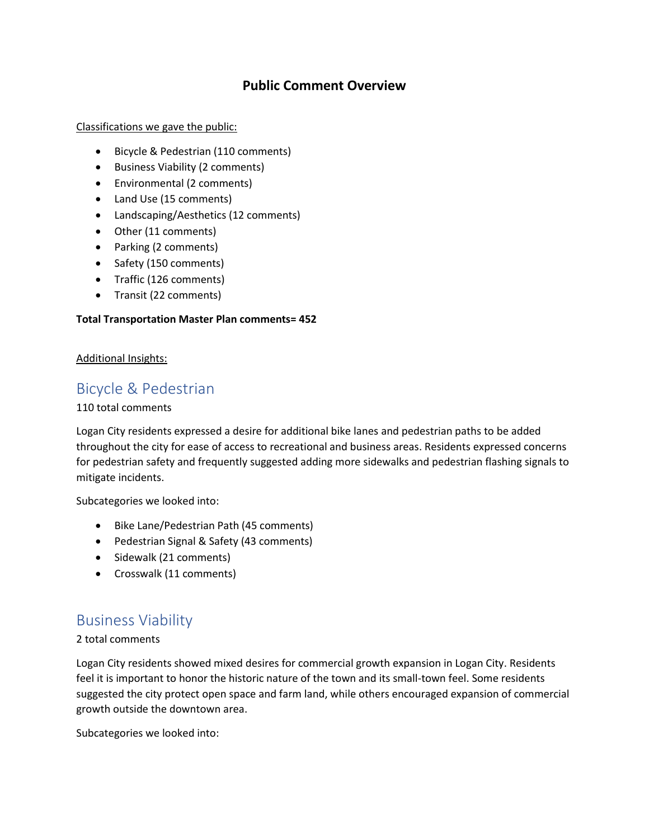### **Public Comment Overview**

#### Classifications we gave the public:

- Bicycle & Pedestrian (110 comments)
- Business Viability (2 comments)
- Environmental (2 comments)
- Land Use (15 comments)
- Landscaping/Aesthetics (12 comments)
- Other (11 comments)
- Parking (2 comments)
- Safety (150 comments)
- Traffic (126 comments)
- Transit (22 comments)

#### **Total Transportation Master Plan comments= 452**

#### Additional Insights:

## Bicycle & Pedestrian

#### 110 total comments

Logan City residents expressed a desire for additional bike lanes and pedestrian paths to be added throughout the city for ease of access to recreational and business areas. Residents expressed concerns for pedestrian safety and frequently suggested adding more sidewalks and pedestrian flashing signals to mitigate incidents.

Subcategories we looked into:

- Bike Lane/Pedestrian Path (45 comments)
- Pedestrian Signal & Safety (43 comments)
- Sidewalk (21 comments)
- Crosswalk (11 comments)

## Business Viability

#### 2 total comments

Logan City residents showed mixed desires for commercial growth expansion in Logan City. Residents feel it is important to honor the historic nature of the town and its small-town feel. Some residents suggested the city protect open space and farm land, while others encouraged expansion of commercial growth outside the downtown area.

Subcategories we looked into: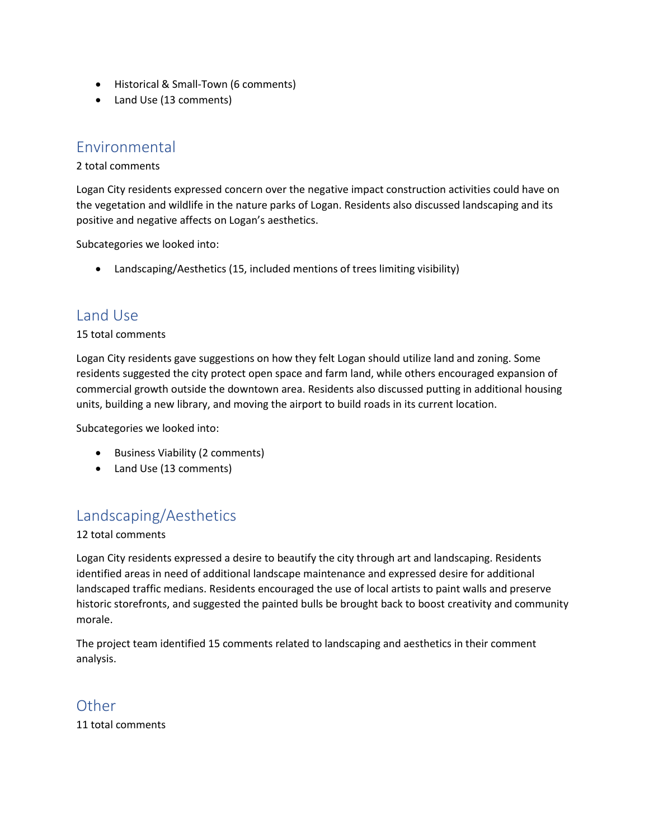- Historical & Small-Town (6 comments)
- Land Use (13 comments)

## Environmental

### 2 total comments

Logan City residents expressed concern over the negative impact construction activities could have on the vegetation and wildlife in the nature parks of Logan. Residents also discussed landscaping and its positive and negative affects on Logan's aesthetics.

Subcategories we looked into:

• Landscaping/Aesthetics (15, included mentions of trees limiting visibility)

## Land Use

### 15 total comments

Logan City residents gave suggestions on how they felt Logan should utilize land and zoning. Some residents suggested the city protect open space and farm land, while others encouraged expansion of commercial growth outside the downtown area. Residents also discussed putting in additional housing units, building a new library, and moving the airport to build roads in its current location.

Subcategories we looked into:

- Business Viability (2 comments)
- Land Use (13 comments)

# Landscaping/Aesthetics

12 total comments

Logan City residents expressed a desire to beautify the city through art and landscaping. Residents identified areas in need of additional landscape maintenance and expressed desire for additional landscaped traffic medians. Residents encouraged the use of local artists to paint walls and preserve historic storefronts, and suggested the painted bulls be brought back to boost creativity and community morale.

The project team identified 15 comments related to landscaping and aesthetics in their comment analysis.

# **Other**

11 total comments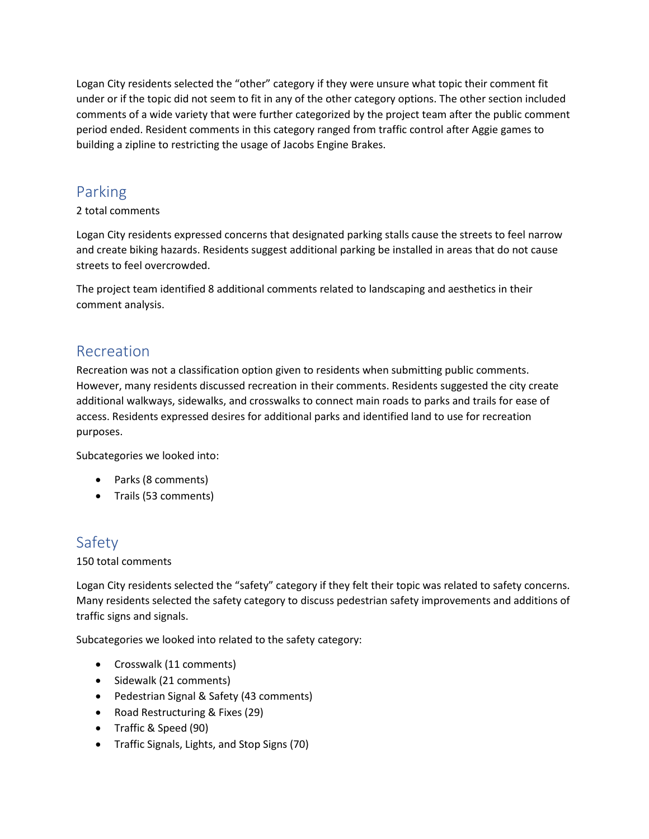Logan City residents selected the "other" category if they were unsure what topic their comment fit under or if the topic did not seem to fit in any of the other category options. The other section included comments of a wide variety that were further categorized by the project team after the public comment period ended. Resident comments in this category ranged from traffic control after Aggie games to building a zipline to restricting the usage of Jacobs Engine Brakes.

# Parking

### 2 total comments

Logan City residents expressed concerns that designated parking stalls cause the streets to feel narrow and create biking hazards. Residents suggest additional parking be installed in areas that do not cause streets to feel overcrowded.

The project team identified 8 additional comments related to landscaping and aesthetics in their comment analysis.

## Recreation

Recreation was not a classification option given to residents when submitting public comments. However, many residents discussed recreation in their comments. Residents suggested the city create additional walkways, sidewalks, and crosswalks to connect main roads to parks and trails for ease of access. Residents expressed desires for additional parks and identified land to use for recreation purposes.

Subcategories we looked into:

- Parks (8 comments)
- Trails (53 comments)

# Safety

### 150 total comments

Logan City residents selected the "safety" category if they felt their topic was related to safety concerns. Many residents selected the safety category to discuss pedestrian safety improvements and additions of traffic signs and signals.

Subcategories we looked into related to the safety category:

- Crosswalk (11 comments)
- Sidewalk (21 comments)
- Pedestrian Signal & Safety (43 comments)
- Road Restructuring & Fixes (29)
- Traffic & Speed (90)
- Traffic Signals, Lights, and Stop Signs (70)